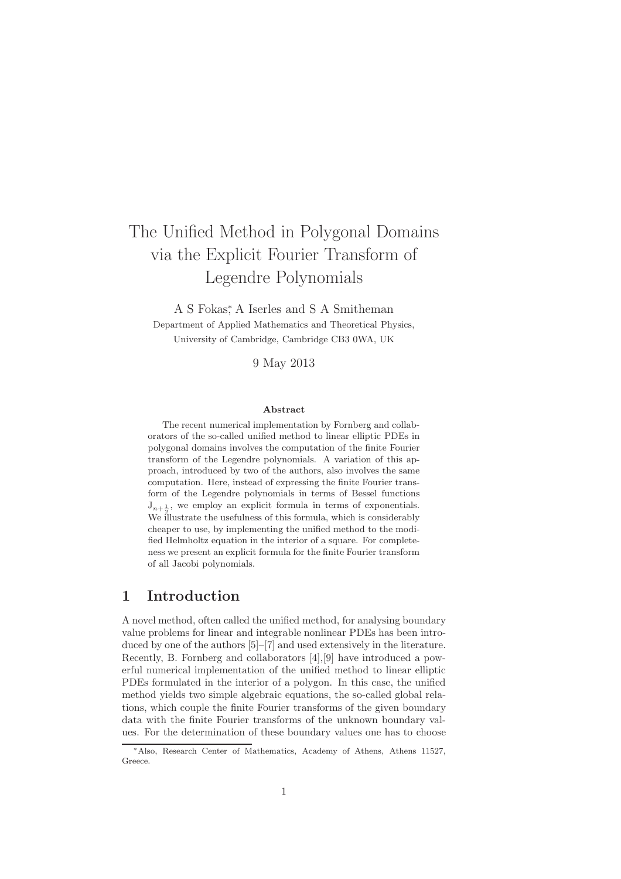# The Unified Method in Polygonal Domains via the Explicit Fourier Transform of Legendre Polynomials

A S Fokas,<sup>∗</sup> A Iserles and S A Smitheman Department of Applied Mathematics and Theoretical Physics, University of Cambridge, Cambridge CB3 0WA, UK

9 May 2013

#### Abstract

The recent numerical implementation by Fornberg and collaborators of the so-called unified method to linear elliptic PDEs in polygonal domains involves the computation of the finite Fourier transform of the Legendre polynomials. A variation of this approach, introduced by two of the authors, also involves the same computation. Here, instead of expressing the finite Fourier transform of the Legendre polynomials in terms of Bessel functions  $J_{n+\frac{1}{2}}$ , we employ an explicit formula in terms of exponentials. We illustrate the usefulness of this formula, which is considerably cheaper to use, by implementing the unified method to the modified Helmholtz equation in the interior of a square. For completeness we present an explicit formula for the finite Fourier transform of all Jacobi polynomials.

### 1 Introduction

A novel method, often called the unified method, for analysing boundary value problems for linear and integrable nonlinear PDEs has been introduced by one of the authors [5]–[7] and used extensively in the literature. Recently, B. Fornberg and collaborators [4],[9] have introduced a powerful numerical implementation of the unified method to linear elliptic PDEs formulated in the interior of a polygon. In this case, the unified method yields two simple algebraic equations, the so-called global relations, which couple the finite Fourier transforms of the given boundary data with the finite Fourier transforms of the unknown boundary values. For the determination of these boundary values one has to choose

<sup>∗</sup>Also, Research Center of Mathematics, Academy of Athens, Athens 11527, Greece.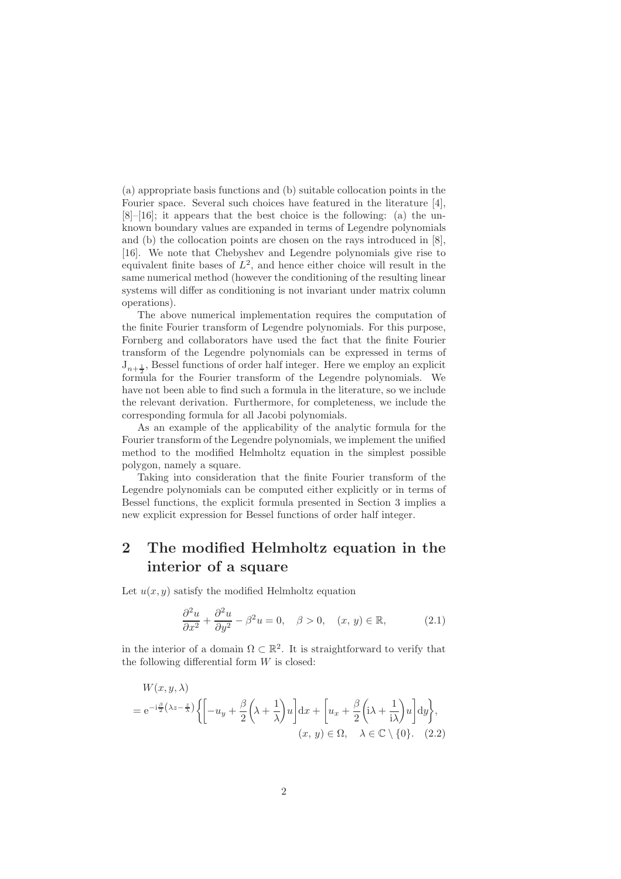(a) appropriate basis functions and (b) suitable collocation points in the Fourier space. Several such choices have featured in the literature [4],  $[8]$ – $[16]$ ; it appears that the best choice is the following: (a) the unknown boundary values are expanded in terms of Legendre polynomials and (b) the collocation points are chosen on the rays introduced in [8], [16]. We note that Chebyshev and Legendre polynomials give rise to equivalent finite bases of  $L^2$ , and hence either choice will result in the same numerical method (however the conditioning of the resulting linear systems will differ as conditioning is not invariant under matrix column operations).

The above numerical implementation requires the computation of the finite Fourier transform of Legendre polynomials. For this purpose, Fornberg and collaborators have used the fact that the finite Fourier transform of the Legendre polynomials can be expressed in terms of  $J_{n+\frac{1}{2}}$ , Bessel functions of order half integer. Here we employ an explicit formula for the Fourier transform of the Legendre polynomials. We have not been able to find such a formula in the literature, so we include the relevant derivation. Furthermore, for completeness, we include the corresponding formula for all Jacobi polynomials.

As an example of the applicability of the analytic formula for the Fourier transform of the Legendre polynomials, we implement the unified method to the modified Helmholtz equation in the simplest possible polygon, namely a square.

Taking into consideration that the finite Fourier transform of the Legendre polynomials can be computed either explicitly or in terms of Bessel functions, the explicit formula presented in Section 3 implies a new explicit expression for Bessel functions of order half integer.

# 2 The modified Helmholtz equation in the interior of a square

Let  $u(x, y)$  satisfy the modified Helmholtz equation

$$
\frac{\partial^2 u}{\partial x^2} + \frac{\partial^2 u}{\partial y^2} - \beta^2 u = 0, \quad \beta > 0, \quad (x, y) \in \mathbb{R}, \tag{2.1}
$$

in the interior of a domain  $\Omega \subset \mathbb{R}^2$ . It is straightforward to verify that the following differential form  $W$  is closed:

$$
W(x, y, \lambda)
$$
  
=  $e^{-i\frac{\beta}{2}(\lambda z - \frac{z}{\lambda})} \left\{ \left[ -u_y + \frac{\beta}{2} \left( \lambda + \frac{1}{\lambda} \right) u \right] dx + \left[ u_x + \frac{\beta}{2} \left( i\lambda + \frac{1}{i\lambda} \right) u \right] dy \right\},$   
(x, y)  $\in \Omega$ ,  $\lambda \in \mathbb{C} \setminus \{0\}$ . (2.2)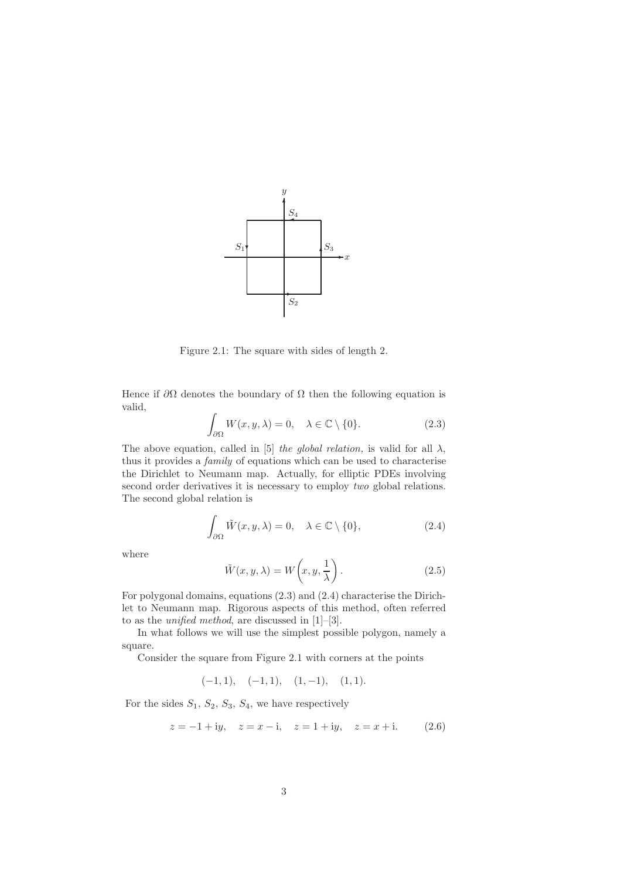

Figure 2.1: The square with sides of length 2.

Hence if  $\partial\Omega$  denotes the boundary of  $\Omega$  then the following equation is valid,

$$
\int_{\partial\Omega} W(x, y, \lambda) = 0, \quad \lambda \in \mathbb{C} \setminus \{0\}. \tag{2.3}
$$

The above equation, called in [5] the global relation, is valid for all  $\lambda$ , thus it provides a family of equations which can be used to characterise the Dirichlet to Neumann map. Actually, for elliptic PDEs involving second order derivatives it is necessary to employ two global relations. The second global relation is

$$
\int_{\partial\Omega} \tilde{W}(x, y, \lambda) = 0, \quad \lambda \in \mathbb{C} \setminus \{0\},\tag{2.4}
$$

where

$$
\tilde{W}(x, y, \lambda) = W\left(x, y, \frac{1}{\lambda}\right). \tag{2.5}
$$

For polygonal domains, equations (2.3) and (2.4) characterise the Dirichlet to Neumann map. Rigorous aspects of this method, often referred to as the unified method, are discussed in [1]–[3].

In what follows we will use the simplest possible polygon, namely a square.

Consider the square from Figure 2.1 with corners at the points

 $(-1, 1), \quad (-1, 1), \quad (1, -1), \quad (1, 1).$ 

For the sides  $S_1$ ,  $S_2$ ,  $S_3$ ,  $S_4$ , we have respectively

$$
z = -1 + iy
$$
,  $z = x - i$ ,  $z = 1 + iy$ ,  $z = x + i$ . (2.6)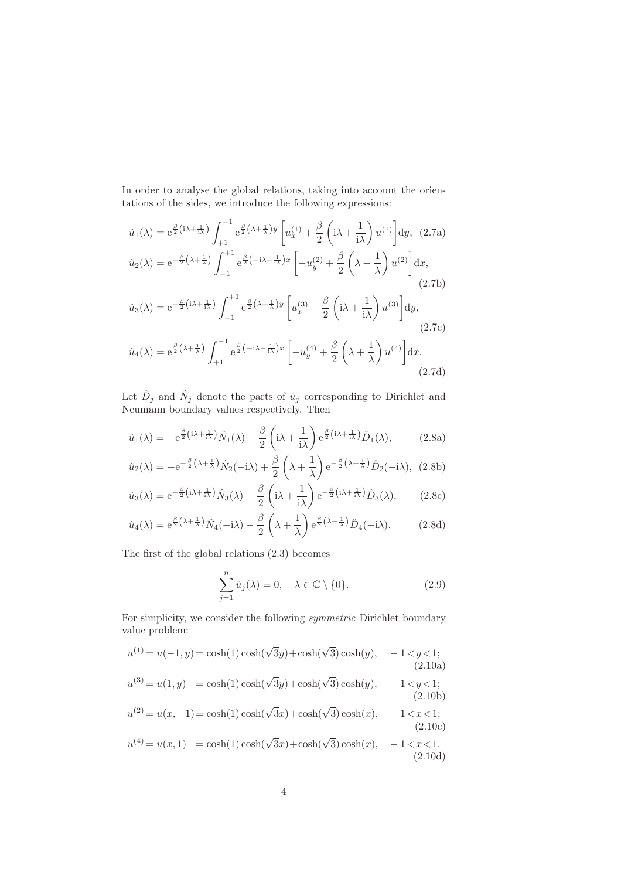In order to analyse the global relations, taking into account the orientations of the sides, we introduce the following expressions:

$$
\hat{u}_1(\lambda) = e^{\frac{\beta}{2}(i\lambda + \frac{1}{i\lambda})} \int_{+1}^{-1} e^{\frac{\beta}{2}(\lambda + \frac{1}{\lambda})y} \left[ u_x^{(1)} + \frac{\beta}{2} \left( i\lambda + \frac{1}{i\lambda} \right) u^{(1)} \right] dy, (2.7a)
$$
  

$$
\hat{u}_2(\lambda) = e^{-\frac{\beta}{2}(\lambda + \frac{1}{\lambda})} \int_{-1}^{+1} e^{\frac{\beta}{2}(-i\lambda - \frac{1}{i\lambda})x} \left[ -u_y^{(2)} + \frac{\beta}{2} \left( \lambda + \frac{1}{\lambda} \right) u^{(2)} \right] dx,
$$
  
(2.7b)  

$$
\hat{u}_3(\lambda) = e^{-\frac{\beta}{2}(i\lambda + \frac{1}{i\lambda})} \int_{-1}^{+1} e^{\frac{\beta}{2}(\lambda + \frac{1}{\lambda})y} \left[ u_x^{(3)} + \frac{\beta}{2} \left( i\lambda + \frac{1}{i\lambda} \right) u^{(3)} \right] dy,
$$
  
(2.7c)  

$$
\hat{u}_4(\lambda) = e^{\frac{\beta}{2}(\lambda + \frac{1}{\lambda})} \int_{+1}^{-1} e^{\frac{\beta}{2}(-i\lambda - \frac{1}{i\lambda})x} \left[ -u_y^{(4)} + \frac{\beta}{2} \left( \lambda + \frac{1}{\lambda} \right) u^{(4)} \right] dx.
$$
  
(2.7d)

Let  $\hat{D}_j$  and  $\hat{N}_j$  denote the parts of  $\hat{u}_j$  corresponding to Dirichlet and Neumann boundary values respectively. Then

$$
\hat{u}_1(\lambda) = -e^{\frac{\beta}{2}(i\lambda + \frac{1}{i\lambda})}\hat{N}_1(\lambda) - \frac{\beta}{2}\left(i\lambda + \frac{1}{i\lambda}\right)e^{\frac{\beta}{2}(i\lambda + \frac{1}{i\lambda})}\hat{D}_1(\lambda),\tag{2.8a}
$$

$$
\hat{u}_2(\lambda) = -e^{-\frac{\beta}{2}(\lambda + \frac{1}{\lambda})}\hat{N}_2(-i\lambda) + \frac{\beta}{2}\left(\lambda + \frac{1}{\lambda}\right)e^{-\frac{\beta}{2}(\lambda + \frac{1}{\lambda})}\hat{D}_2(-i\lambda), (2.8b)
$$

$$
\hat{u}_3(\lambda) = e^{-\frac{\beta}{2}\left(i\lambda + \frac{1}{i\lambda}\right)}\hat{N}_3(\lambda) + \frac{\beta}{2}\left(i\lambda + \frac{1}{i\lambda}\right)e^{-\frac{\beta}{2}\left(i\lambda + \frac{1}{i\lambda}\right)}\hat{D}_3(\lambda),\tag{2.8c}
$$

$$
\hat{u}_4(\lambda) = e^{\frac{\beta}{2}(\lambda + \frac{1}{\lambda})}\hat{N}_4(-i\lambda) - \frac{\beta}{2}\left(\lambda + \frac{1}{\lambda}\right)e^{\frac{\beta}{2}(\lambda + \frac{1}{\lambda})}\hat{D}_4(-i\lambda).
$$
 (2.8d)

The first of the global relations (2.3) becomes

$$
\sum_{j=1}^{n} \hat{u}_j(\lambda) = 0, \quad \lambda \in \mathbb{C} \setminus \{0\}. \tag{2.9}
$$

For simplicity, we consider the following symmetric Dirichlet boundary value problem:

$$
u^{(1)} = u(-1, y) = \cosh(1)\cosh(\sqrt{3}y) + \cosh(\sqrt{3})\cosh(y), -1 < y < 1;
$$
  
\n(2.10a)  
\n
$$
u^{(3)} = u(1, y) = \cosh(1)\cosh(\sqrt{3}y) + \cosh(\sqrt{3})\cosh(y), -1 < y < 1;
$$
  
\n(2.10b)  
\n
$$
u^{(2)} = u(x, -1) = \cosh(1)\cosh(\sqrt{3}x) + \cosh(\sqrt{3})\cosh(x), -1 < x < 1;
$$
  
\n(2.10c)  
\n
$$
u^{(4)} = u(x, 1) = \cosh(1)\cosh(\sqrt{3}x) + \cosh(\sqrt{3})\cosh(x), -1 < x < 1.
$$
  
\n(2.10d)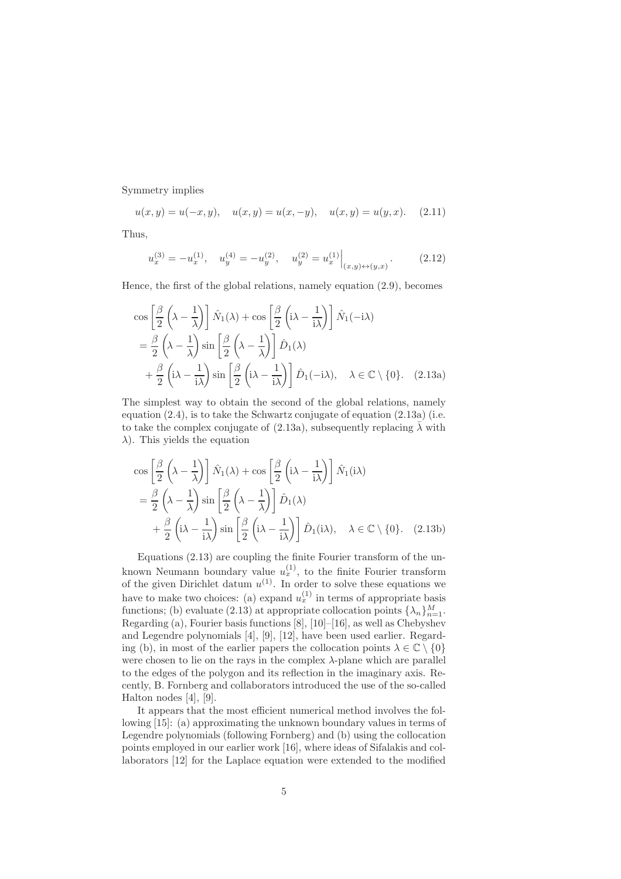Symmetry implies

$$
u(x, y) = u(-x, y),
$$
  $u(x, y) = u(x, -y),$   $u(x, y) = u(y, x).$  (2.11)

Thus,

$$
u_x^{(3)} = -u_x^{(1)}, \quad u_y^{(4)} = -u_y^{(2)}, \quad u_y^{(2)} = u_x^{(1)}\Big|_{(x,y)\leftrightarrow(y,x)}.\tag{2.12}
$$

Hence, the first of the global relations, namely equation (2.9), becomes

$$
\cos\left[\frac{\beta}{2}\left(\lambda-\frac{1}{\lambda}\right)\right]\hat{N}_1(\lambda) + \cos\left[\frac{\beta}{2}\left(i\lambda-\frac{1}{i\lambda}\right)\right]\hat{N}_1(-i\lambda)
$$
  

$$
= \frac{\beta}{2}\left(\lambda-\frac{1}{\lambda}\right)\sin\left[\frac{\beta}{2}\left(\lambda-\frac{1}{\lambda}\right)\right]\hat{D}_1(\lambda)
$$
  

$$
+ \frac{\beta}{2}\left(i\lambda-\frac{1}{i\lambda}\right)\sin\left[\frac{\beta}{2}\left(i\lambda-\frac{1}{i\lambda}\right)\right]\hat{D}_1(-i\lambda), \quad \lambda \in \mathbb{C}\setminus\{0\}. \quad (2.13a)
$$

The simplest way to obtain the second of the global relations, namely equation  $(2.4)$ , is to take the Schwartz conjugate of equation  $(2.13a)$  (i.e. to take the complex conjugate of (2.13a), subsequently replacing  $\bar{\lambda}$  with  $\lambda$ ). This yields the equation

$$
\cos\left[\frac{\beta}{2}\left(\lambda-\frac{1}{\lambda}\right)\right]\hat{N}_1(\lambda) + \cos\left[\frac{\beta}{2}\left(i\lambda-\frac{1}{i\lambda}\right)\right]\hat{N}_1(i\lambda)
$$
  

$$
= \frac{\beta}{2}\left(\lambda-\frac{1}{\lambda}\right)\sin\left[\frac{\beta}{2}\left(\lambda-\frac{1}{\lambda}\right)\right]\hat{D}_1(\lambda)
$$
  

$$
+ \frac{\beta}{2}\left(i\lambda-\frac{1}{i\lambda}\right)\sin\left[\frac{\beta}{2}\left(i\lambda-\frac{1}{i\lambda}\right)\right]\hat{D}_1(i\lambda), \quad \lambda \in \mathbb{C}\setminus\{0\}. \quad (2.13b)
$$

Equations (2.13) are coupling the finite Fourier transform of the unknown Neumann boundary value  $u_x^{(1)}$ , to the finite Fourier transform of the given Dirichlet datum  $u^{(1)}$ . In order to solve these equations we have to make two choices: (a) expand  $u_x^{(1)}$  in terms of appropriate basis functions; (b) evaluate (2.13) at appropriate collocation points  $\{\lambda_n\}_{n=1}^M$ . Regarding (a), Fourier basis functions [8], [10]–[16], as well as Chebyshev and Legendre polynomials [4], [9], [12], have been used earlier. Regarding (b), in most of the earlier papers the collocation points  $\lambda \in \mathbb{C} \setminus \{0\}$ were chosen to lie on the rays in the complex  $\lambda$ -plane which are parallel to the edges of the polygon and its reflection in the imaginary axis. Recently, B. Fornberg and collaborators introduced the use of the so-called Halton nodes [4], [9].

It appears that the most efficient numerical method involves the following [15]: (a) approximating the unknown boundary values in terms of Legendre polynomials (following Fornberg) and (b) using the collocation points employed in our earlier work [16], where ideas of Sifalakis and collaborators [12] for the Laplace equation were extended to the modified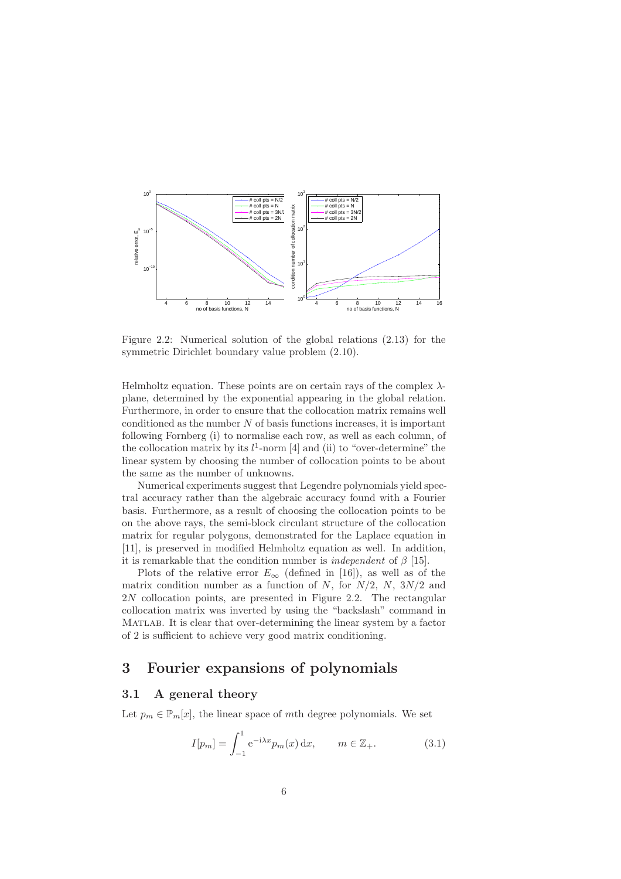

Figure 2.2: Numerical solution of the global relations (2.13) for the symmetric Dirichlet boundary value problem (2.10).

Helmholtz equation. These points are on certain rays of the complex  $\lambda$ plane, determined by the exponential appearing in the global relation. Furthermore, in order to ensure that the collocation matrix remains well conditioned as the number  $N$  of basis functions increases, it is important following Fornberg (i) to normalise each row, as well as each column, of the collocation matrix by its  $l^1$ -norm [4] and (ii) to "over-determine" the linear system by choosing the number of collocation points to be about the same as the number of unknowns.

Numerical experiments suggest that Legendre polynomials yield spectral accuracy rather than the algebraic accuracy found with a Fourier basis. Furthermore, as a result of choosing the collocation points to be on the above rays, the semi-block circulant structure of the collocation matrix for regular polygons, demonstrated for the Laplace equation in [11], is preserved in modified Helmholtz equation as well. In addition, it is remarkable that the condition number is *independent* of  $\beta$  [15].

Plots of the relative error  $E_{\infty}$  (defined in [16]), as well as of the matrix condition number as a function of N, for  $N/2$ , N,  $3N/2$  and 2N collocation points, are presented in Figure 2.2. The rectangular collocation matrix was inverted by using the "backslash" command in Matlab. It is clear that over-determining the linear system by a factor of 2 is sufficient to achieve very good matrix conditioning.

# 3 Fourier expansions of polynomials

#### 3.1 A general theory

Let  $p_m \in \mathbb{P}_m[x]$ , the linear space of mth degree polynomials. We set

$$
I[p_m] = \int_{-1}^{1} e^{-i\lambda x} p_m(x) dx, \qquad m \in \mathbb{Z}_+.
$$
 (3.1)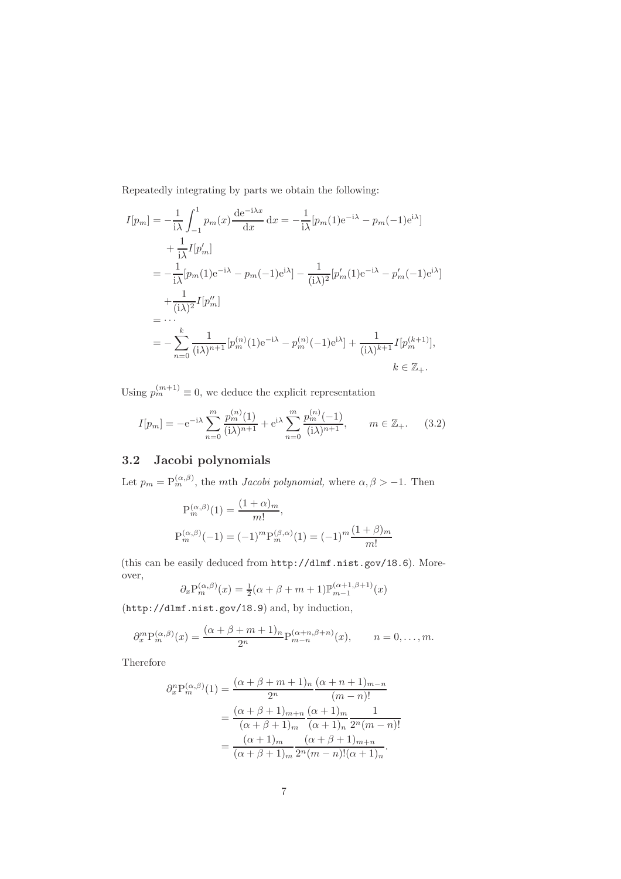Repeatedly integrating by parts we obtain the following:

$$
I[p_m] = -\frac{1}{i\lambda} \int_{-1}^{1} p_m(x) \frac{de^{-i\lambda x}}{dx} dx = -\frac{1}{i\lambda} [p_m(1)e^{-i\lambda} - p_m(-1)e^{i\lambda}] + \frac{1}{i\lambda} I[p'_m] = -\frac{1}{i\lambda} [p_m(1)e^{-i\lambda} - p_m(-1)e^{i\lambda}] - \frac{1}{(i\lambda)^2} [p'_m(1)e^{-i\lambda} - p'_m(-1)e^{i\lambda}] + \frac{1}{(i\lambda)^2} I[p''_m] = \cdots = -\sum_{n=0}^{k} \frac{1}{(i\lambda)^{n+1}} [p_m^{(n)}(1)e^{-i\lambda} - p_m^{(n)}(-1)e^{i\lambda}] + \frac{1}{(i\lambda)^{k+1}} I[p_m^{(k+1)}], k \in \mathbb{Z}_+.
$$

Using  $p_m^{(m+1)} \equiv 0$ , we deduce the explicit representation

$$
I[p_m] = -e^{-i\lambda} \sum_{n=0}^{m} \frac{p_m^{(n)}(1)}{(i\lambda)^{n+1}} + e^{i\lambda} \sum_{n=0}^{m} \frac{p_m^{(n)}(-1)}{(i\lambda)^{n+1}}, \qquad m \in \mathbb{Z}_+.
$$
 (3.2)

# 3.2 Jacobi polynomials

Let  $p_m = P_m^{(\alpha,\beta)}$ , the mth *Jacobi polynomial*, where  $\alpha, \beta > -1$ . Then

$$
P_m^{(\alpha,\beta)}(1) = \frac{(1+\alpha)_m}{m!},
$$
  
\n
$$
P_m^{(\alpha,\beta)}(-1) = (-1)^m P_m^{(\beta,\alpha)}(1) = (-1)^m \frac{(1+\beta)_m}{m!}
$$

(this can be easily deduced from http://dlmf.nist.gov/18.6). Moreover,

$$
\partial_x \mathbf{P}_m^{(\alpha,\beta)}(x) = \frac{1}{2}(\alpha+\beta+m+1)\mathbb{P}_{m-1}^{(\alpha+1,\beta+1)}(x)
$$

(http://dlmf.nist.gov/18.9) and, by induction,

$$
\partial_x^m P_m^{(\alpha,\beta)}(x) = \frac{(\alpha+\beta+m+1)_n}{2^n} P_{m-n}^{(\alpha+n,\beta+n)}(x), \qquad n = 0,\ldots,m.
$$

Therefore

$$
\partial_x^n \mathcal{P}_m^{(\alpha,\beta)}(1) = \frac{(\alpha + \beta + m + 1)_n (\alpha + n + 1)_{m-n}}{2^n} \n= \frac{(\alpha + \beta + 1)_{m+n} (\alpha + 1)_m}{(\alpha + \beta + 1)_m (\alpha + 1)_n} \frac{1}{2^n (m - n)!} \n= \frac{(\alpha + 1)_m (\alpha + \beta + 1)_{m+n}}{(\alpha + \beta + 1)_m} \frac{(\alpha + \beta + 1)_{m+n}}{2^n (m - n)! (\alpha + 1)_n}.
$$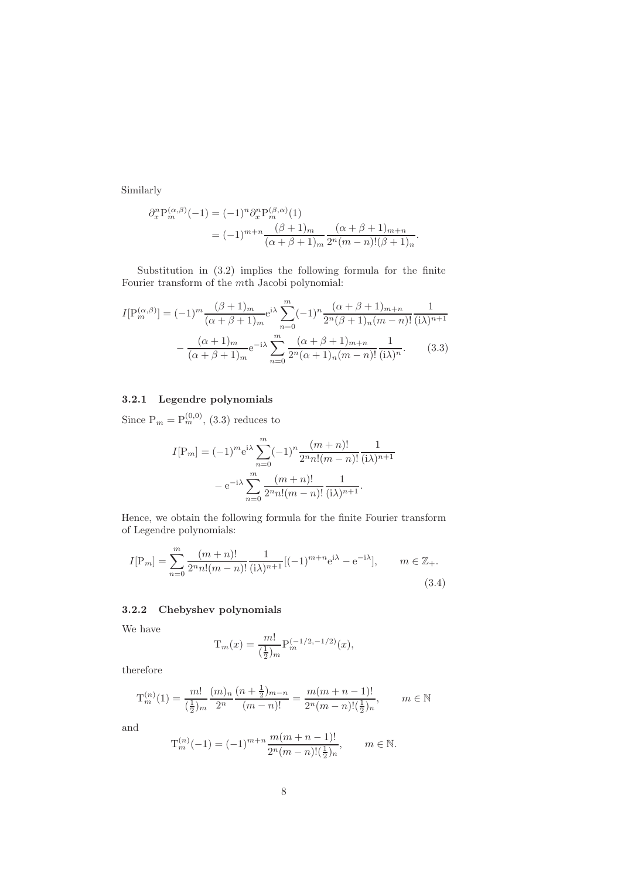Similarly

$$
\partial_x^n P_m^{(\alpha,\beta)}(-1) = (-1)^n \partial_x^n P_m^{(\beta,\alpha)}(1)
$$
  
=  $(-1)^{m+n} \frac{(\beta+1)_m}{(\alpha+\beta+1)_m} \frac{(\alpha+\beta+1)_{m+n}}{2^n(m-n)!(\beta+1)_n}.$ 

Substitution in (3.2) implies the following formula for the finite Fourier transform of the mth Jacobi polynomial:

$$
I[\mathbf{P}_{m}^{(\alpha,\beta)}] = (-1)^{m} \frac{(\beta+1)_{m}}{(\alpha+\beta+1)_{m}} e^{i\lambda} \sum_{n=0}^{m} (-1)^{n} \frac{(\alpha+\beta+1)_{m+n}}{2^{n}(\beta+1)_{n}(m-n)!} \frac{1}{(i\lambda)^{n+1}} - \frac{(\alpha+1)_{m}}{(\alpha+\beta+1)_{m}} e^{-i\lambda} \sum_{n=0}^{m} \frac{(\alpha+\beta+1)_{m+n}}{2^{n}(\alpha+1)_{n}(m-n)!} \frac{1}{(i\lambda)^{n}}.
$$
(3.3)

#### 3.2.1 Legendre polynomials

Since  $P_m = P_m^{(0,0)}$ , (3.3) reduces to

$$
I[P_m] = (-1)^m e^{i\lambda} \sum_{n=0}^m (-1)^n \frac{(m+n)!}{2^n n! (m-n)!} \frac{1}{(i\lambda)^{n+1}}
$$

$$
- e^{-i\lambda} \sum_{n=0}^m \frac{(m+n)!}{2^n n! (m-n)!} \frac{1}{(i\lambda)^{n+1}}.
$$

Hence, we obtain the following formula for the finite Fourier transform of Legendre polynomials:

$$
I[\mathbf{P}_m] = \sum_{n=0}^m \frac{(m+n)!}{2^n n! (m-n)!} \frac{1}{(\mathbf{i}\lambda)^{n+1}} [(-1)^{m+n} \mathbf{e}^{\mathbf{i}\lambda} - \mathbf{e}^{-\mathbf{i}\lambda}], \qquad m \in \mathbb{Z}_+.
$$
\n(3.4)

#### 3.2.2 Chebyshev polynomials

We have

$$
T_m(x) = \frac{m!}{(\frac{1}{2})_m} P_m^{(-1/2, -1/2)}(x),
$$

therefore

$$
\mathcal{T}_{m}^{(n)}(1) = \frac{m!}{(\frac{1}{2})_{m}} \frac{(m)_{n}}{2^{n}} \frac{(n+\frac{1}{2})_{m-n}}{(m-n)!} = \frac{m(m+n-1)!}{2^{n}(m-n)!(\frac{1}{2})_{n}}, \qquad m \in \mathbb{N}
$$

and

$$
\mathcal{T}_{m}^{(n)}(-1) = (-1)^{m+n} \frac{m(m+n-1)!}{2^{n}(m-n)!(\frac{1}{2})_{n}}, \qquad m \in \mathbb{N}.
$$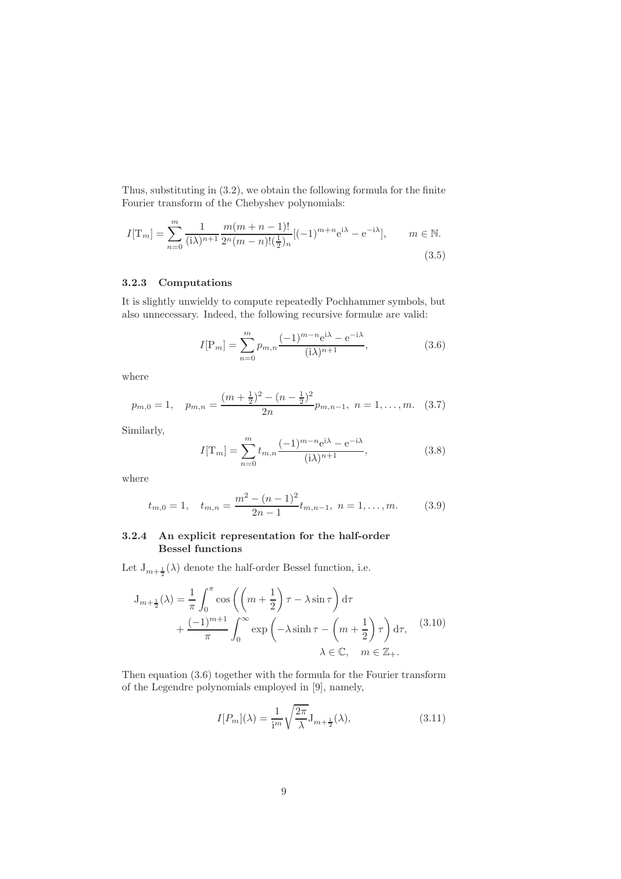Thus, substituting in (3.2), we obtain the following formula for the finite Fourier transform of the Chebyshev polynomials:

$$
I[T_m] = \sum_{n=0}^{m} \frac{1}{(\mathrm{i}\lambda)^{n+1}} \frac{m(m+n-1)!}{2^n(m-n)!(\frac{1}{2})_n} [(-1)^{m+n} e^{\mathrm{i}\lambda} - e^{-\mathrm{i}\lambda}], \qquad m \in \mathbb{N}.
$$
\n(3.5)

#### 3.2.3 Computations

It is slightly unwieldy to compute repeatedly Pochhammer symbols, but also unnecessary. Indeed, the following recursive formulæ are valid:

$$
I[\mathbf{P}_m] = \sum_{n=0}^{m} p_{m,n} \frac{(-1)^{m-n} e^{i\lambda} - e^{-i\lambda}}{(i\lambda)^{n+1}},
$$
\n(3.6)

where

$$
p_{m,0} = 1, \quad p_{m,n} = \frac{(m + \frac{1}{2})^2 - (n - \frac{1}{2})^2}{2n} p_{m,n-1}, \quad n = 1, \dots, m. \quad (3.7)
$$

Similarly,

$$
I[T_m] = \sum_{n=0}^{m} t_{m,n} \frac{(-1)^{m-n} e^{i\lambda} - e^{-i\lambda}}{(i\lambda)^{n+1}},
$$
\n(3.8)

where

$$
t_{m,0} = 1, \quad t_{m,n} = \frac{m^2 - (n-1)^2}{2n-1} t_{m,n-1}, \quad n = 1, \dots, m. \tag{3.9}
$$

#### 3.2.4 An explicit representation for the half-order Bessel functions

Let  $J_{m+\frac{1}{2}}(\lambda)$  denote the half-order Bessel function, i.e.

$$
J_{m+\frac{1}{2}}(\lambda) = \frac{1}{\pi} \int_0^{\pi} \cos \left( \left( m + \frac{1}{2} \right) \tau - \lambda \sin \tau \right) d\tau
$$
  
+ 
$$
\frac{(-1)^{m+1}}{\pi} \int_0^{\infty} \exp \left( -\lambda \sinh \tau - \left( m + \frac{1}{2} \right) \tau \right) d\tau, \quad (3.10)
$$
  

$$
\lambda \in \mathbb{C}, \quad m \in \mathbb{Z}_+.
$$

Then equation (3.6) together with the formula for the Fourier transform of the Legendre polynomials employed in [9], namely,

$$
I[P_m](\lambda) = \frac{1}{\mathrm{i}^m} \sqrt{\frac{2\pi}{\lambda}} \mathbf{J}_{m + \frac{1}{2}}(\lambda),\tag{3.11}
$$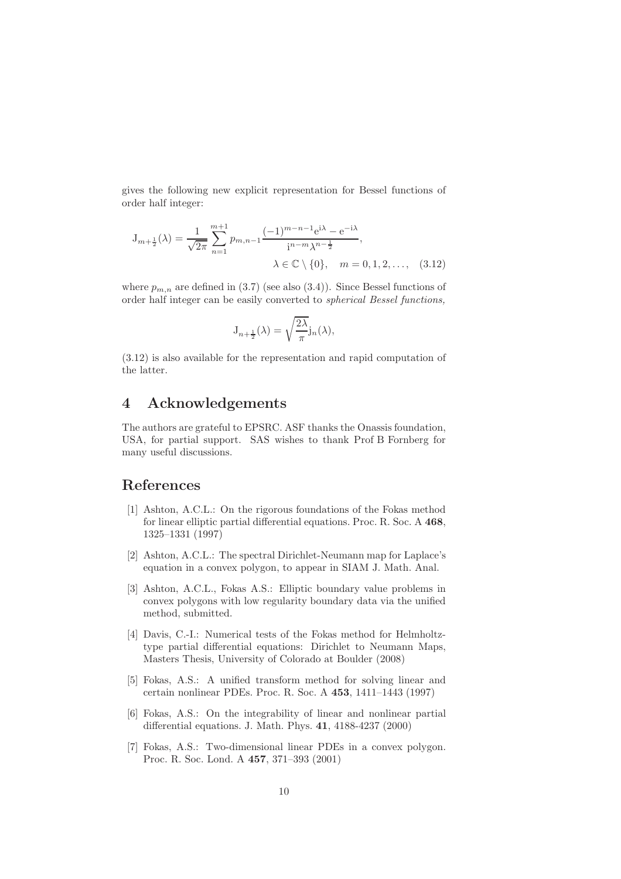gives the following new explicit representation for Bessel functions of order half integer:

$$
J_{m+\frac{1}{2}}(\lambda) = \frac{1}{\sqrt{2\pi}} \sum_{n=1}^{m+1} p_{m,n-1} \frac{(-1)^{m-n-1} e^{i\lambda} - e^{-i\lambda}}{i^{n-m} \lambda^{n-\frac{1}{2}}},
$$
  

$$
\lambda \in \mathbb{C} \setminus \{0\}, \quad m = 0, 1, 2, ..., \quad (3.12)
$$

where  $p_{m,n}$  are defined in (3.7) (see also (3.4)). Since Bessel functions of order half integer can be easily converted to spherical Bessel functions,

$$
J_{n+\frac{1}{2}}(\lambda) = \sqrt{\frac{2\lambda}{\pi}} j_n(\lambda),
$$

(3.12) is also available for the representation and rapid computation of the latter.

## 4 Acknowledgements

The authors are grateful to EPSRC. ASF thanks the Onassis foundation, USA, for partial support. SAS wishes to thank Prof B Fornberg for many useful discussions.

# References

- [1] Ashton, A.C.L.: On the rigorous foundations of the Fokas method for linear elliptic partial differential equations. Proc. R. Soc. A 468, 1325–1331 (1997)
- [2] Ashton, A.C.L.: The spectral Dirichlet-Neumann map for Laplace's equation in a convex polygon, to appear in SIAM J. Math. Anal.
- [3] Ashton, A.C.L., Fokas A.S.: Elliptic boundary value problems in convex polygons with low regularity boundary data via the unified method, submitted.
- [4] Davis, C.-I.: Numerical tests of the Fokas method for Helmholtztype partial differential equations: Dirichlet to Neumann Maps, Masters Thesis, University of Colorado at Boulder (2008)
- [5] Fokas, A.S.: A unified transform method for solving linear and certain nonlinear PDEs. Proc. R. Soc. A 453, 1411–1443 (1997)
- [6] Fokas, A.S.: On the integrability of linear and nonlinear partial differential equations. J. Math. Phys. 41, 4188-4237 (2000)
- [7] Fokas, A.S.: Two-dimensional linear PDEs in a convex polygon. Proc. R. Soc. Lond. A 457, 371–393 (2001)